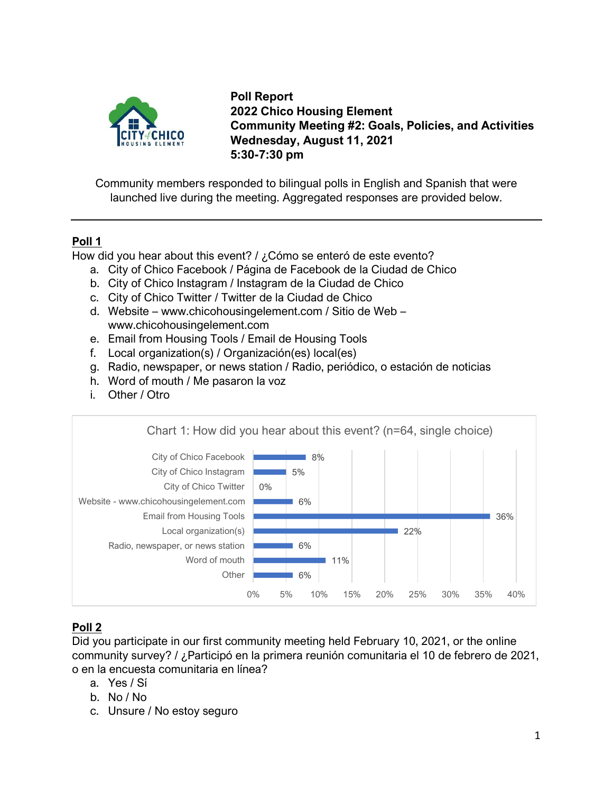

**Poll Report 2022 Chico Housing Element Community Meeting #2: Goals, Policies, and Activities Wednesday, August 11, 2021 5:30-7:30 pm**

Community members responded to bilingual polls in English and Spanish that were launched live during the meeting. Aggregated responses are provided below.

## **Poll 1**

How did you hear about this event? / ¿Cómo se enteró de este evento?

- a. City of Chico Facebook / Página de Facebook de la Ciudad de Chico
- b. City of Chico Instagram / Instagram de la Ciudad de Chico
- c. City of Chico Twitter / Twitter de la Ciudad de Chico
- d. Website www.chicohousingelement.com / Sitio de Web www.chicohousingelement.com
- e. Email from Housing Tools / Email de Housing Tools
- f. Local organization(s) / Organización(es) local(es)
- g. Radio, newspaper, or news station / Radio, periódico, o estación de noticias
- h. Word of mouth / Me pasaron la voz
- i. Other / Otro



## **Poll 2**

Did you participate in our first community meeting held February 10, 2021, or the online community survey? / ¿Participó en la primera reunión comunitaria el 10 de febrero de 2021, o en la encuesta comunitaria en línea?

- a. Yes / Sí
- b. No / No
- c. Unsure / No estoy seguro